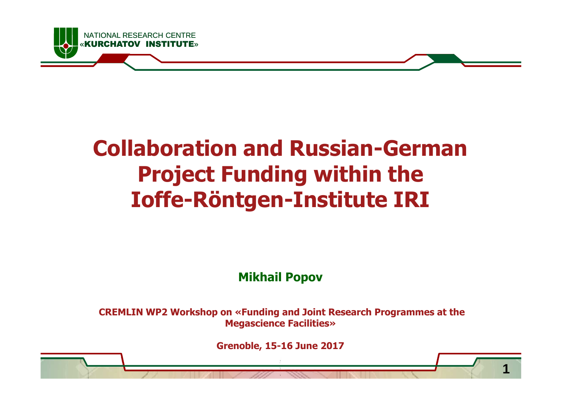

## **Collaboration and Russian-German Project Funding within theIoffe-Röntgen-Institute IRI**

#### **Mikhail Popov**

**CREMLIN WP2 Workshop on «Funding and Joint Research Programmes at the Megascience Facilities»**

**Grenoble, 15-16 June 2017**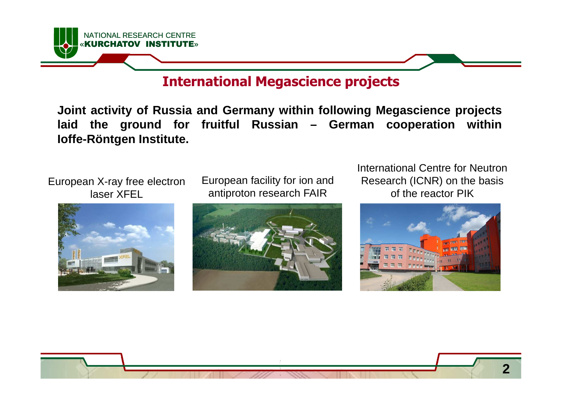

#### **International Megascience projects**

**Joint activity of Russia and Germany within following Megascience projects laid the ground for fruitful Russian – German cooperation withinIoffe-Röntgen Institute.**

European X-ray free electron laser XFEL



European facility for ion and antiproton research FAIR



International Centre for Neutron Research (ICNR) on the basis of the reactor PIK



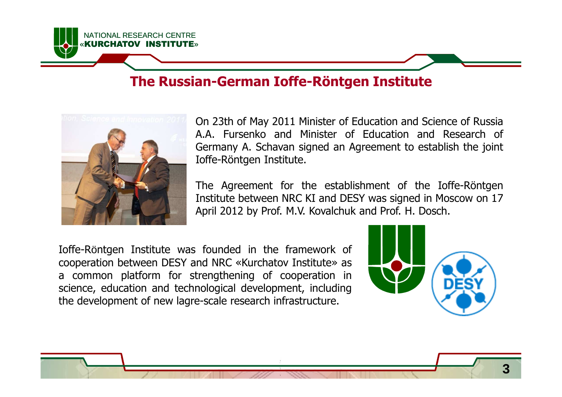#### **The Russian-German Ioffe-Röntgen Institute**



NATIONAL RESEARCH CENTRE

**KIIRCHATOV** 

On 23th of May <sup>2011</sup> Minister of Education and Science of Russia A.A. Fursenko and Minister of Education and Research of Germany A. Schavan signed an Agreement to establish the joint Ioffe-Röntgen Institute.

The Agreement for the establishment of the Ioffe-Röntgen Institute between NRC KI and DESY was signed in Moscow on <sup>17</sup> April <sup>2012</sup> by Prof. M.V. Kovalchuk and Prof. H. Dosch.

Ioffe-Röntgen Institute was founded in the framework of cooperation between DESY and NRC «Kurchatov Institute» as <sup>a</sup> common platform for strengthening of cooperation in science, education and technological development, including the development of new lagre-scale research infrastructure.

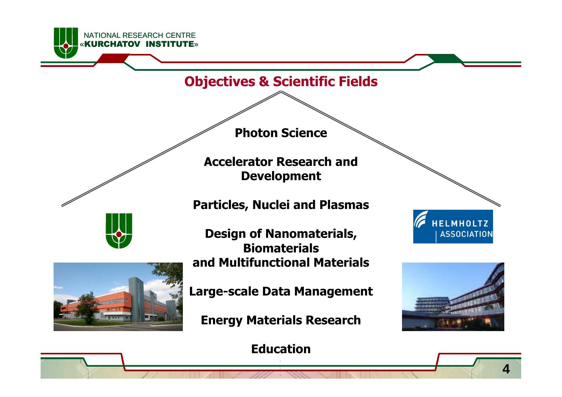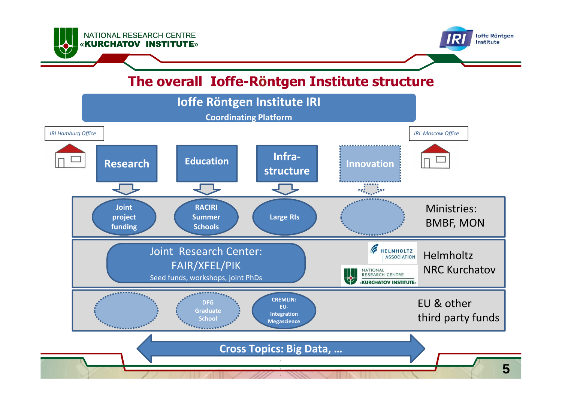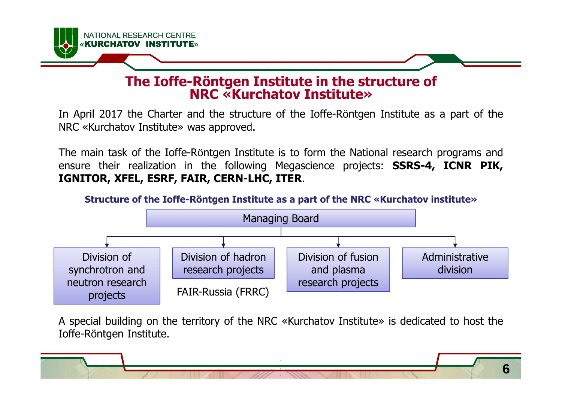

#### **The Ioffe-Röntgen Institute in the structure ofNRC «Kurchatov Institute»**

In April <sup>2017</sup> the Charter and the structure of the Ioffe-Röntgen Institute as <sup>a</sup> part of the NRC «Kurchatov Institute» was approved.

The main task of the Ioffe-Röntgen Institute is to form the National research programs and ensure their realization in the following Megascience projects: **SSRS-4, ICNR PIK, IGNITOR, XFEL, ESRF, FAIR, CERN-LHC, ITER**.



<sup>A</sup> special building on the territory of the NRC «Kurchatov Institute» is dedicated to host the Ioffe-Röntgen Institute.

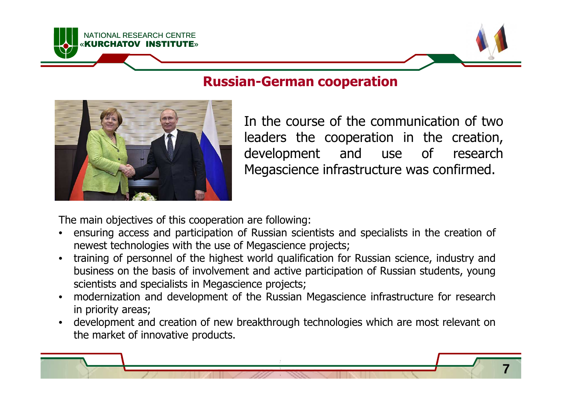



NATIONAL RESEARCH CENTRE

**KURCHATOV** 

In the course of the communication of two leaders the cooperation in the creation, development and use of research Megascience infrastructure was confirmed.

The main objectives of this cooperation are following:

- • ensuring access and participation of Russian scientists and specialists in the creation of newest technologies with the use of Megascience projects;
- • training of personnel of the highest world qualification for Russian science, industry and business on the basis of involvement and active participation of Russian students, young scientists and specialists in Megascience projects;
- • modernization and development of the Russian Megascience infrastructure for research in priority areas;
- • development and creation of new breakthrough technologies which are most relevant on the market of innovative products.

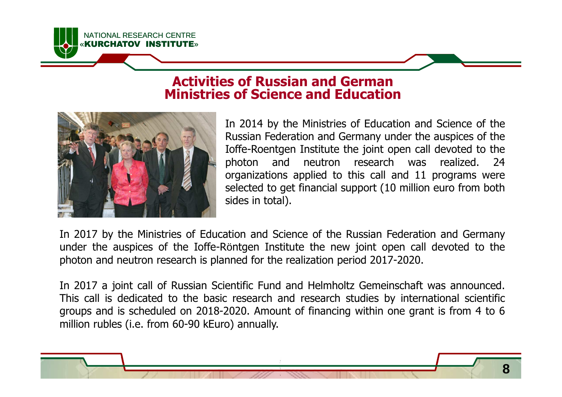#### **Activities of Russian and GermanMinistries of Science and Education**



NATIONAL RESEARCH CENTRE«KURCHATOV INSTITUTE»

> In <sup>2014</sup> by the Ministries of Education and Science of the Russian Federation and Germany under the auspices of the Ioffe-Roentgen Institute the joint open call devoted to the photon and neutron research was realized. 24<br>organizations\_annlied\_to\_this\_call\_and\_11\_programs\_were organizations applied to this call and 11 programs were<br>selected to get financial support (10 million euro from both selected to get financial support (10 million euro from both sides in total).

In <sup>2017</sup> by the Ministries of Education and Science of the Russian Federation and Germany under the auspices of the Ioffe-Röntgen Institute the new joint open call devoted to the photon and neutron research is planned for the realization period 2017-2020.

In <sup>2017</sup> <sup>a</sup> joint call of Russian Scientific Fund and Helmholtz Gemeinschaft was announced. This call is dedicated to the basic research and research studies by international scientific groups and is scheduled on 2018-2020. Amount of financing within one grant is from <sup>4</sup> to <sup>6</sup> million rubles (i.e. from 60-90 kEuro) annually.

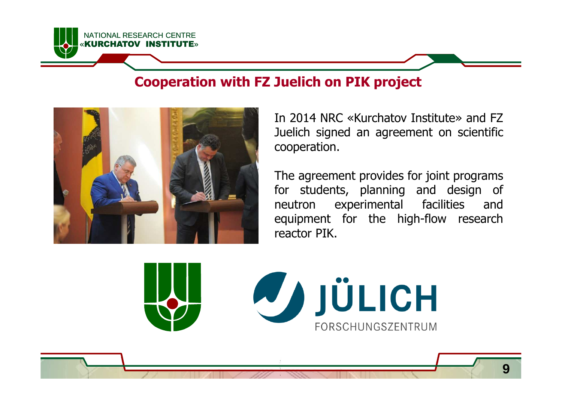

#### **Cooperation with FZ Juelich on PIK project**



In <sup>2014</sup> NRC «Kurchatov Institute» and FZ Juelich signed an agreement on scientific<br>cooperation cooperation.

The agreement provides for joint programs for students, planning and design of<br>neutron experimental facilities and neutron experimental facilities equipment for the high-flow research reactor PIK.

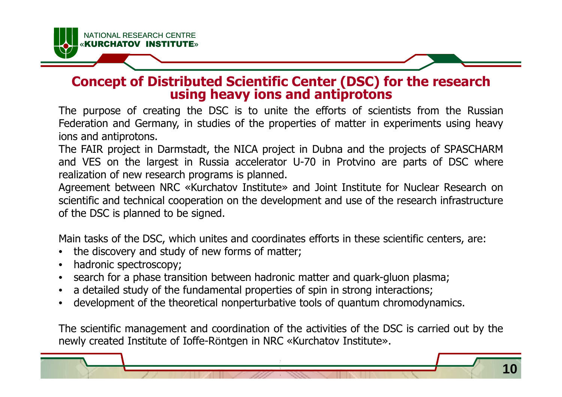# **Concept of Distributed Scientific Center (DSC) for the research using heavy ions and antiprotons**

 The purpose of creating the DSC is to unite the efforts of scientists from the Russian Federation and Germany, in studies of the properties of matter in experiments using heavy ions and antiprotons.

The FAIR project in Darmstadt, the NICA project in Dubna and the projects of SPASCHARM and VES on the largest in Russia accelerator U-70 in Protvino are parts of DSC where realization of new research programs is planned.

Agreement between NRC «Kurchatov Institute» and Joint Institute for Nuclear Research on scientific and technical cooperation on the development and use of the research infrastructure of the DSC is planned to be signed.

Main tasks of the DSC, which unites and coordinates efforts in these scientific centers, are:

- $\bullet$ the discovery and study of new forms of matter;
- $\bullet$ hadronic spectroscopy;
- $\bullet$ search for <sup>a</sup> phase transition between hadronic matter and quark-gluon plasma;
- $\bullet$ <sup>a</sup> detailed study of the fundamental properties of spin in strong interactions;
- •development of the theoretical nonperturbative tools of quantum chromodynamics.

The scientific management and coordination of the activities of the DSC is carried out by the newly created Institute of Ioffe-Röntgen in NRC «Kurchatov Institute».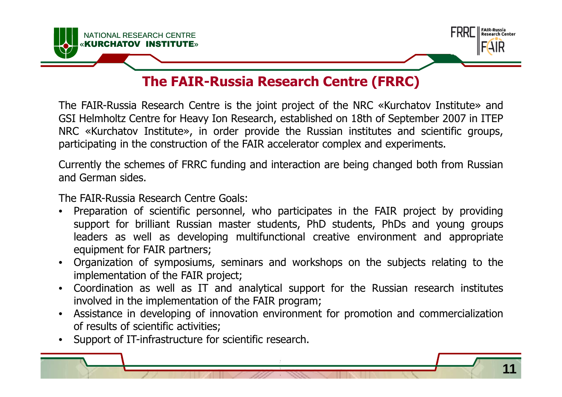



#### **The FAIR-Russia Research Centre (FRRC)**

The FAIR-Russia Research Centre is the joint project of the NRC «Kurchatov Institute» and GSI Helmholtz Centre for Heavy Ion Research, established on 18th of September <sup>2007</sup> in ITEP NRC «Kurchatov Institute», in order provide the Russian institutes and scientific groups, participating in the construction of the FAIR accelerator complex and experiments.

Currently the schemes of FRRC funding and interaction are being changed both from Russian and German sides.

The FAIR-Russia Research Centre Goals:

- $\bullet$  Preparation of scientific personnel, who participates in the FAIR project by providing support for brilliant Russian master students, PhD students, PhDs and young groups leaders as well as developing multifunctional creative environment and appropriate equipment for FAIR partners;
- • Organization of symposiums, seminars and workshops on the subjects relating to the implementation of the FAIR project;
- $\bullet$  Coordination as well as IT and analytical support for the Russian research institutes involved in the implementation of the FAIR program;
- • Assistance in developing of innovation environment for promotion and commercialization of results of scientific activities;
- •Support of IT-infrastructure for scientific research.

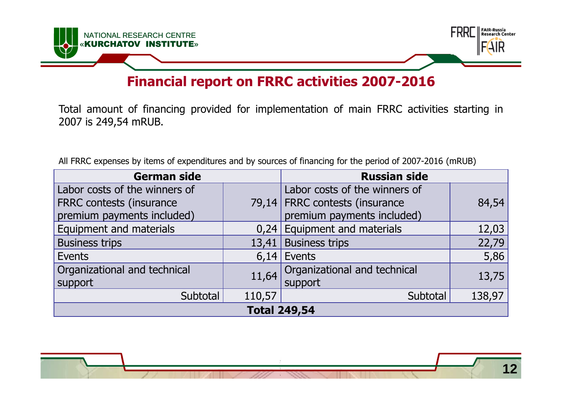

#### **Financial report on FRRC activities 2007-2016**

Total amount of financing provided for implementation of main FRRC activities starting in <sup>2007</sup> is 249,54 mRUB.

All FRRC expenses by items of expenditures and by sources of financing for the period of 2007-2016 (mRUB)

| <b>German side</b>              |        | <b>Russian side</b>            |        |
|---------------------------------|--------|--------------------------------|--------|
| Labor costs of the winners of   |        | Labor costs of the winners of  |        |
| <b>FRRC</b> contests (insurance |        | 79,14 FRRC contests (insurance | 84,54  |
| premium payments included)      |        | premium payments included)     |        |
| Equipment and materials         |        | $0,24$ Equipment and materials | 12,03  |
| <b>Business trips</b>           | 13,41  | <b>Business trips</b>          | 22,79  |
| Events                          |        | $6,14$ Events                  | 5,86   |
| Organizational and technical    | 11,64  | Organizational and technical   | 13,75  |
| support                         |        | support                        |        |
| Subtotal                        | 110,57 | Subtotal                       | 138,97 |
| <b>Total 249,54</b>             |        |                                |        |
|                                 |        |                                |        |

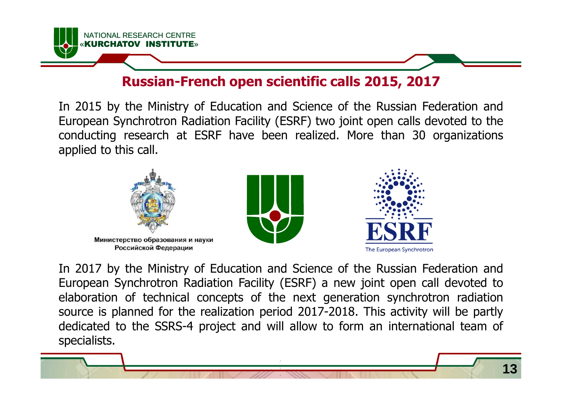

#### **Russian-French open scientific calls 2015, 2017**

In <sup>2015</sup> by the Ministry of Education and Science of the Russian Federation and European Synchrotron Radiation Facility (ESRF) two joint open calls devoted to the conducting research at ESRF have been realized. More than <sup>30</sup> organizations applied to this call.



In <sup>2017</sup> by the Ministry of Education and Science of the Russian Federation and European Synchrotron Radiation Facility (ESRF) <sup>a</sup> new joint open call devoted to elaboration of technical concepts of the next generation synchrotron radiation source is planned for the realization period 2017-2018. This activity will be partly dedicated to the SSRS-4 project and will allow to form an international team of specialists.

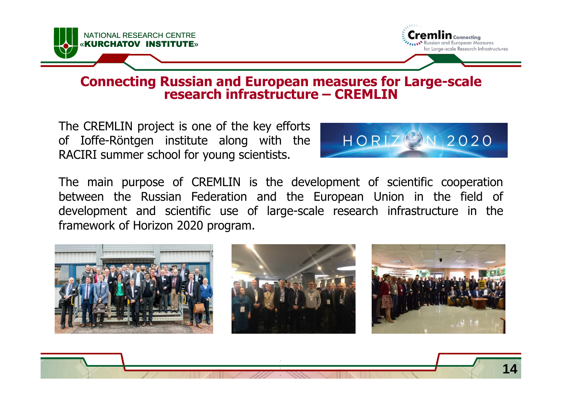



**14**

## **Connecting Russian and European measures for Large-scale research infrastructure – CREMLIN**

The CREMLIN project is one of the key efforts of Ioffe-Röntgen institute along with the RACIRI summer school for young scientists.



The main purpose of CREMLIN is the development of scientific cooperation between the Russian Federation and the European Union in the field of development and scientific use of large-scale research infrastructure in the framework of Horizon <sup>2020</sup> program.

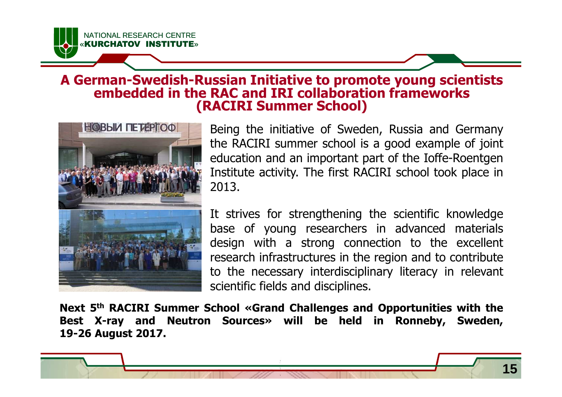

## **A German-Swedish-Russian Initiative to promote young scientists embedded in the RAC and IRI collaboration frameworks(RACIRI Summer School)**



Being the initiative of Sweden, Russia and Germany the RACIRI summer school is <sup>a</sup> good example of joint education and an important part of the Ioffe-Roentgen Institute activity. The first RACIRI school took place in 2013.

It strives for strengthening the scientific knowledge base of young researchers in advanced materials design with <sup>a</sup> strong connection to the excellent research infrastructures in the region and to contribute to the necessary interdisciplinary literacy in relevant scientific fields and disciplines.

**Next <sup>5</sup>th RACIRI Summer School «Grand Challenges and Opportunities with the Best X-ray and Neutron Sources» will be held in Ronneby, 19-26 August 2017.**

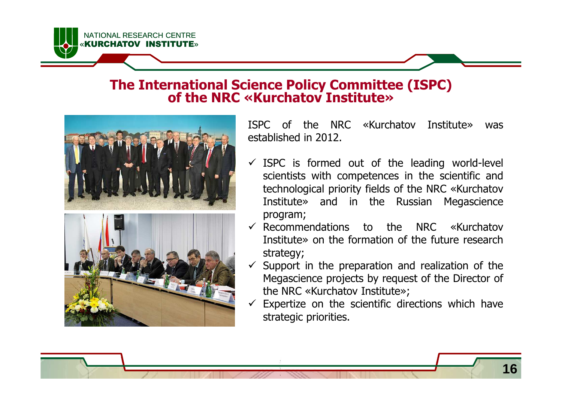NATIONAL RESEARCH CENTRE«KURCHATOV INSTITU

### **The International Science Policy Committee (ISPC)of the NRC «Kurchatov Institute»**





ISPC of the NRC «Kurchatov Institute» was established in 2012.

- $\checkmark$  ISPC is formed out of the leading world-level<br>scientists with competences in the scientific and scientists with competences in the scientific and technological priority fields of the NRC «Kurchatov Institute» and in the Russian Megascience program;
- Recommendations to the NRC «Kurchatov»  $\overline{C}$  The straight in the formation of the future research Institute» on the formation of the future research strategy;
- $\checkmark$  Support in the preparation and realization of the Megascience projects by request of the Director of Megascience projects by request of the Director of the NRC «Kurchatov Institute»;
- $\checkmark$  Expertize on the scientific directions which have<br>strategic priorities strategic priorities.